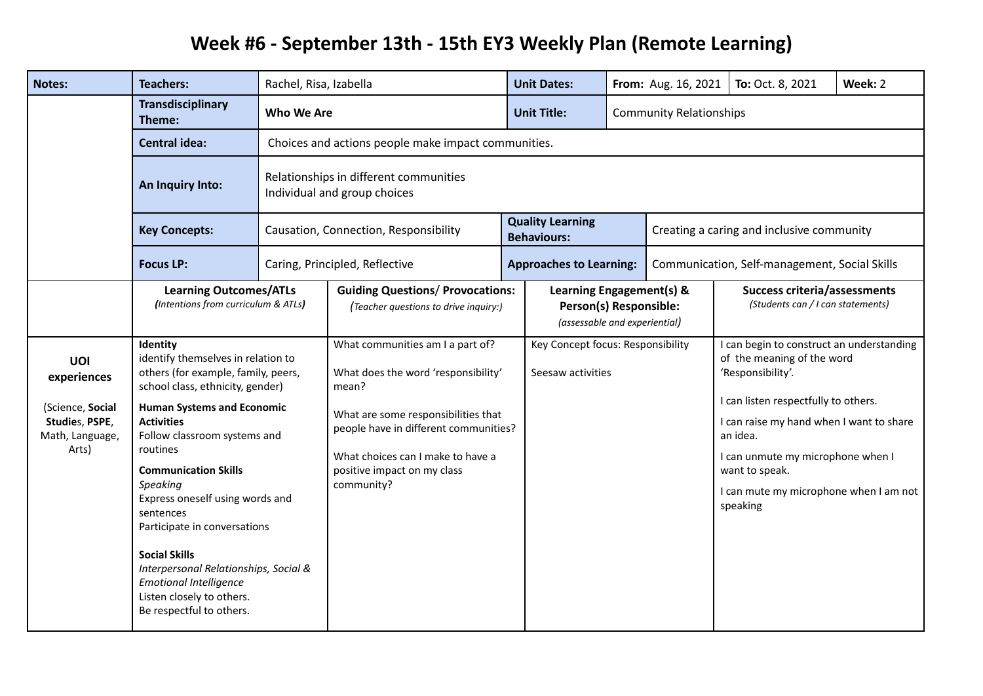## **Week #6 - September 13th - 15th EY3 Weekly Plan (Remote Learning)**

| <b>Notes:</b>                          | <b>Teachers:</b>                                                                                                                                                                                                                                                                                                                                                                                                                                                                                                               | Rachel, Risa, Izabella                                                 |                                                                                                                                                                                                                                                    |  | <b>Unit Dates:</b>                                                                  |                                | From: Aug. 16, 2021                           | To: Oct. 8, 2021                                                                                                                                                  | Week: 2 |  |
|----------------------------------------|--------------------------------------------------------------------------------------------------------------------------------------------------------------------------------------------------------------------------------------------------------------------------------------------------------------------------------------------------------------------------------------------------------------------------------------------------------------------------------------------------------------------------------|------------------------------------------------------------------------|----------------------------------------------------------------------------------------------------------------------------------------------------------------------------------------------------------------------------------------------------|--|-------------------------------------------------------------------------------------|--------------------------------|-----------------------------------------------|-------------------------------------------------------------------------------------------------------------------------------------------------------------------|---------|--|
|                                        | Transdisciplinary<br>Theme:                                                                                                                                                                                                                                                                                                                                                                                                                                                                                                    | Who We Are                                                             |                                                                                                                                                                                                                                                    |  | <b>Unit Title:</b>                                                                  | <b>Community Relationships</b> |                                               |                                                                                                                                                                   |         |  |
|                                        | <b>Central idea:</b>                                                                                                                                                                                                                                                                                                                                                                                                                                                                                                           |                                                                        | Choices and actions people make impact communities.                                                                                                                                                                                                |  |                                                                                     |                                |                                               |                                                                                                                                                                   |         |  |
|                                        | An Inquiry Into:                                                                                                                                                                                                                                                                                                                                                                                                                                                                                                               | Relationships in different communities<br>Individual and group choices |                                                                                                                                                                                                                                                    |  |                                                                                     |                                |                                               |                                                                                                                                                                   |         |  |
|                                        | <b>Key Concepts:</b>                                                                                                                                                                                                                                                                                                                                                                                                                                                                                                           |                                                                        | Causation, Connection, Responsibility                                                                                                                                                                                                              |  | <b>Quality Learning</b><br><b>Behaviours:</b>                                       |                                | Creating a caring and inclusive community     |                                                                                                                                                                   |         |  |
|                                        | <b>Focus LP:</b>                                                                                                                                                                                                                                                                                                                                                                                                                                                                                                               |                                                                        | Caring, Principled, Reflective                                                                                                                                                                                                                     |  | <b>Approaches to Learning:</b>                                                      |                                | Communication, Self-management, Social Skills |                                                                                                                                                                   |         |  |
|                                        | <b>Learning Outcomes/ATLs</b><br>(Intentions from curriculum & ATLs)                                                                                                                                                                                                                                                                                                                                                                                                                                                           |                                                                        | <b>Guiding Questions/ Provocations:</b><br>(Teacher questions to drive inquiry:)                                                                                                                                                                   |  | Learning Engagement(s) &<br>Person(s) Responsible:<br>(assessable and experiential) |                                |                                               | <b>Success criteria/assessments</b><br>(Students can / I can statements)                                                                                          |         |  |
| UOI<br>experiences<br>(Science, Social | Identity<br>identify themselves in relation to<br>others (for example, family, peers,<br>school class, ethnicity, gender)<br><b>Human Systems and Economic</b><br><b>Activities</b><br>Follow classroom systems and<br>Arts)<br>routines<br><b>Communication Skills</b><br>Speaking<br>Express oneself using words and<br>sentences<br>Participate in conversations<br><b>Social Skills</b><br>Interpersonal Relationships, Social &<br><b>Emotional Intelligence</b><br>Listen closely to others.<br>Be respectful to others. |                                                                        | What communities am I a part of?<br>What does the word 'responsibility'<br>mean?<br>What are some responsibilities that<br>people have in different communities?<br>What choices can I make to have a<br>positive impact on my class<br>community? |  | Key Concept focus: Responsibility<br>Seesaw activities                              |                                |                                               | I can begin to construct an understanding<br>of the meaning of the word<br>'Responsibility'.<br>I can listen respectfully to others.                              |         |  |
| Studies, PSPE,<br>Math, Language,      |                                                                                                                                                                                                                                                                                                                                                                                                                                                                                                                                |                                                                        |                                                                                                                                                                                                                                                    |  |                                                                                     |                                |                                               | I can raise my hand when I want to share<br>an idea.<br>I can unmute my microphone when I<br>want to speak.<br>I can mute my microphone when I am not<br>speaking |         |  |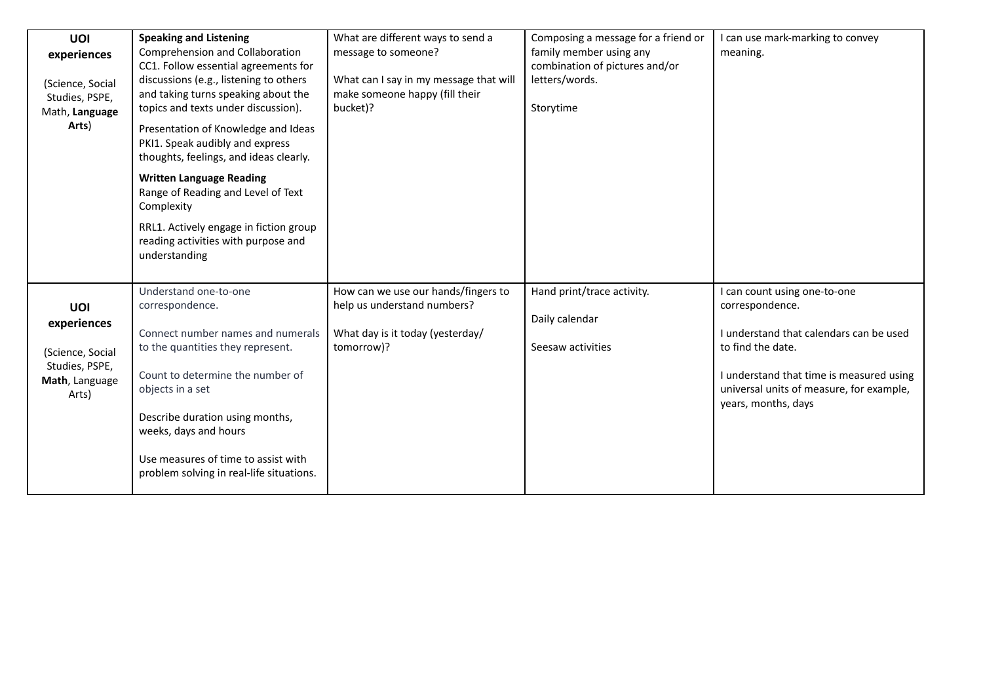| <b>UOI</b><br>experiences<br>(Science, Social<br>Studies, PSPE,<br>Math, Language<br>Arts) | <b>Speaking and Listening</b><br>Comprehension and Collaboration<br>CC1. Follow essential agreements for<br>discussions (e.g., listening to others<br>and taking turns speaking about the<br>topics and texts under discussion).<br>Presentation of Knowledge and Ideas<br>PKI1. Speak audibly and express<br>thoughts, feelings, and ideas clearly.<br><b>Written Language Reading</b><br>Range of Reading and Level of Text<br>Complexity<br>RRL1. Actively engage in fiction group<br>reading activities with purpose and<br>understanding | What are different ways to send a<br>message to someone?<br>What can I say in my message that will<br>make someone happy (fill their<br>bucket)? | Composing a message for a friend or<br>family member using any<br>combination of pictures and/or<br>letters/words.<br>Storytime | I can use mark-marking to convey<br>meaning.                                                                                                                                                                                   |
|--------------------------------------------------------------------------------------------|-----------------------------------------------------------------------------------------------------------------------------------------------------------------------------------------------------------------------------------------------------------------------------------------------------------------------------------------------------------------------------------------------------------------------------------------------------------------------------------------------------------------------------------------------|--------------------------------------------------------------------------------------------------------------------------------------------------|---------------------------------------------------------------------------------------------------------------------------------|--------------------------------------------------------------------------------------------------------------------------------------------------------------------------------------------------------------------------------|
| UOI<br>experiences<br>(Science, Social<br>Studies, PSPE,<br>Math, Language<br>Arts)        | Understand one-to-one<br>correspondence.<br>Connect number names and numerals<br>to the quantities they represent.<br>Count to determine the number of<br>objects in a set<br>Describe duration using months,<br>weeks, days and hours<br>Use measures of time to assist with<br>problem solving in real-life situations.                                                                                                                                                                                                                     | How can we use our hands/fingers to<br>help us understand numbers?<br>What day is it today (yesterday/<br>tomorrow)?                             | Hand print/trace activity.<br>Daily calendar<br>Seesaw activities                                                               | I can count using one-to-one<br>correspondence.<br>I understand that calendars can be used<br>to find the date.<br>I understand that time is measured using<br>universal units of measure, for example,<br>years, months, days |